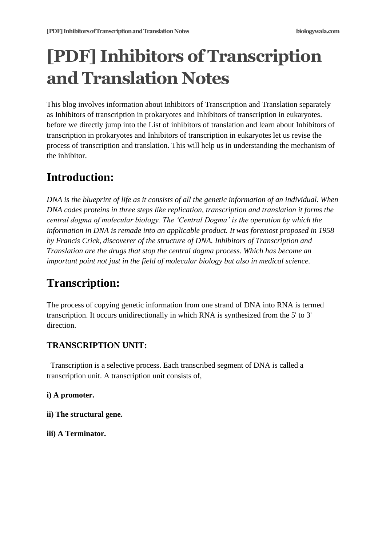# **[PDF] Inhibitors of Transcription and Translation Notes**

This blog involves information about Inhibitors of Transcription and Translation separately as Inhibitors of transcription in prokaryotes and Inhibitors of transcription in eukaryotes. before we directly jump into the List of inhibitors of translation and learn about Inhibitors of transcription in prokaryotes and Inhibitors of transcription in eukaryotes let us revise the process of transcription and translation. This will help us in understanding the mechanism of the inhibitor.

# **Introduction:**

*DNA is the blueprint of life as it consists of all the genetic information of an individual. When DNA codes proteins in three steps like replication, transcription and translation it forms the central dogma of molecular biology. The 'Central Dogma' is the operation by which the information in DNA is remade into an applicable product. It was foremost proposed in 1958 by Francis Crick, discoverer of the structure of DNA. Inhibitors of Transcription and Translation are the drugs that stop the central dogma process. Which has become an important point not just in the field of molecular biology but also in medical science.*

# **Transcription:**

The process of copying genetic information from one strand of DNA into RNA is termed transcription. It occurs unidirectionally in which RNA is synthesized from the 5' to 3' direction.

# **TRANSCRIPTION UNIT:**

Transcription is a selective process. Each transcribed segment of DNA is called a transcription unit. A transcription unit consists of,

## **i) A promoter.**

- **ii) The structural gene.**
- **iii) A Terminator.**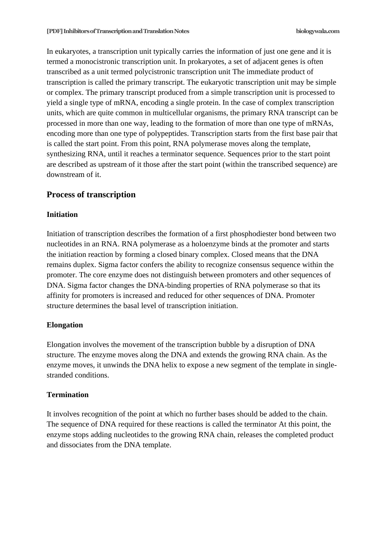In eukaryotes, a transcription unit typically carries the information of just one gene and it is termed a monocistronic transcription unit. In prokaryotes, a set of adjacent genes is often transcribed as a unit termed polycistronic transcription unit The immediate product of transcription is called the primary transcript. The eukaryotic transcription unit may be simple or complex. The primary transcript produced from a simple transcription unit is processed to yield a single type of mRNA, encoding a single protein. In the case of complex transcription units, which are quite common in multicellular organisms, the primary RNA transcript can be processed in more than one way, leading to the formation of more than one type of mRNAs, encoding more than one type of polypeptides. Transcription starts from the first base pair that is called the start point. From this point, RNA polymerase moves along the template, synthesizing RNA, until it reaches a terminator sequence. Sequences prior to the start point are described as upstream of it those after the start point (within the transcribed sequence) are downstream of it.

#### **Process of transcription**

#### **Initiation**

Initiation of transcription describes the formation of a first phosphodiester bond between two nucleotides in an RNA. RNA polymerase as a holoenzyme binds at the promoter and starts the initiation reaction by forming a closed binary complex. Closed means that the DNA remains duplex. Sigma factor confers the ability to recognize consensus sequence within the promoter. The core enzyme does not distinguish between promoters and other sequences of DNA. Sigma factor changes the DNA-binding properties of RNA polymerase so that its affinity for promoters is increased and reduced for other sequences of DNA. Promoter structure determines the basal level of transcription initiation.

#### **Elongation**

Elongation involves the movement of the transcription bubble by a disruption of DNA structure. The enzyme moves along the DNA and extends the growing RNA chain. As the enzyme moves, it unwinds the DNA helix to expose a new segment of the template in singlestranded conditions.

#### **Termination**

It involves recognition of the point at which no further bases should be added to the chain. The sequence of DNA required for these reactions is called the terminator At this point, the enzyme stops adding nucleotides to the growing RNA chain, releases the completed product and dissociates from the DNA template.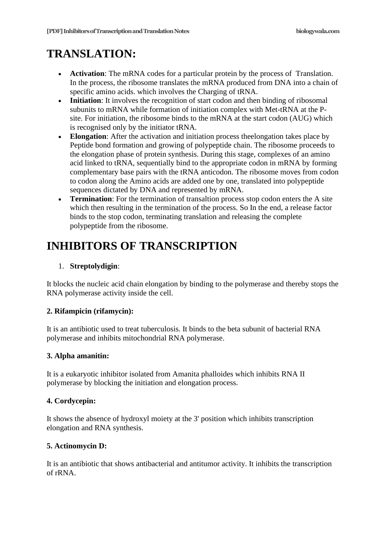# **TRANSLATION:**

- Activation: The mRNA codes for a particular protein by the process of Translation. In the process, the ribosome translates the mRNA produced from DNA into a chain of specific amino acids. which involves the Charging of tRNA.
- **Initiation**: It involves the recognition of start codon and then binding of ribosomal subunits to mRNA while formation of initiation complex with Met-tRNA at the Psite. For initiation, the ribosome binds to the mRNA at the start codon (AUG) which is recognised only by the initiator tRNA.
- **Elongation**: After the activation and initiation process theelongation takes place by Peptide bond formation and growing of polypeptide chain. The ribosome proceeds to the elongation phase of protein synthesis. During this stage, complexes of an amino acid linked to tRNA, sequentially bind to the appropriate codon in mRNA by forming complementary base pairs with the tRNA anticodon. The ribosome moves from codon to codon along the Amino acids are added one by one, translated into polypeptide sequences dictated by DNA and represented by mRNA.
- **Termination**: For the termination of transaltion process stop codon enters the A site which then resulting in the termination of the process. So In the end, a release factor binds to the stop codon, terminating translation and releasing the complete polypeptide from the ribosome.

# **INHIBITORS OF TRANSCRIPTION**

### 1. **Streptolydigin**:

It blocks the nucleic acid chain elongation by binding to the polymerase and thereby stops the RNA polymerase activity inside the cell.

### **2. Rifampicin (rifamycin):**

It is an antibiotic used to treat tuberculosis. It binds to the beta subunit of bacterial RNA polymerase and inhibits mitochondrial RNA polymerase.

### **3. Alpha amanitin:**

It is a eukaryotic inhibitor isolated from Amanita phalloides which inhibits RNA II polymerase by blocking the initiation and elongation process.

#### **4. Cordycepin:**

It shows the absence of hydroxyl moiety at the 3' position which inhibits transcription elongation and RNA synthesis.

#### **5. Actinomycin D:**

It is an antibiotic that shows antibacterial and antitumor activity. It inhibits the transcription of rRNA.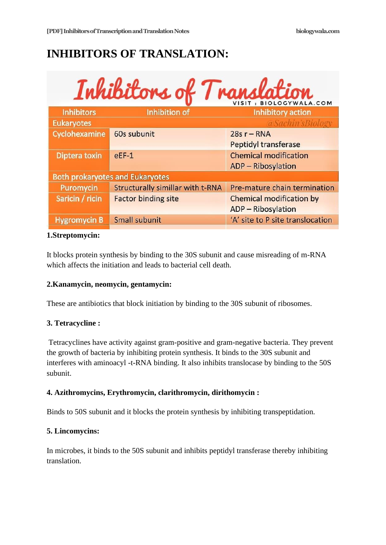# **INHIBITORS OF TRANSLATION:**

| Inhibitons of Translation              |                                         |                                  |  |
|----------------------------------------|-----------------------------------------|----------------------------------|--|
| <b>Inhibitors</b>                      | <b>Inhibition of</b>                    | Inhibitory action                |  |
| <b>Eukaryotes</b>                      |                                         | @Sachin'sBiology                 |  |
| Cyclohexamine                          | 60s subunit                             | $28s r - RNA$                    |  |
|                                        |                                         | <b>Peptidyl transferase</b>      |  |
| <b>Diptera toxin</b>                   | $eEF-1$                                 | <b>Chemical modification</b>     |  |
|                                        |                                         | <b>ADP</b> - Ribosylation        |  |
| <b>Both prokaryotes and Eukaryotes</b> |                                         |                                  |  |
| Puromycin                              | <b>Structurally simillar with t-RNA</b> | Pre-mature chain termination     |  |
| Saricin / ricin                        | <b>Factor binding site</b>              | Chemical modification by         |  |
|                                        |                                         | ADP - Ribosylation               |  |
| <b>Hygromycin B</b>                    | <b>Small subunit</b>                    | 'A' site to P site translocation |  |
|                                        |                                         |                                  |  |

#### **1.Streptomycin:**

It blocks protein synthesis by binding to the 30S subunit and cause misreading of m-RNA which affects the initiation and leads to bacterial cell death.

#### **2.Kanamycin, neomycin, gentamycin:**

These are antibiotics that block initiation by binding to the 30S subunit of ribosomes.

#### **3. Tetracycline :**

Tetracyclines have activity against gram-positive and gram-negative bacteria. They prevent the growth of bacteria by inhibiting protein synthesis. It binds to the 30S subunit and interferes with aminoacyl -t-RNA binding. It also inhibits translocase by binding to the 50S subunit.

#### **4. Azithromycins, Erythromycin, clarithromycin, dirithomycin :**

Binds to 50S subunit and it blocks the protein synthesis by inhibiting transpeptidation.

#### **5. Lincomycins:**

In microbes, it binds to the 50S subunit and inhibits peptidyl transferase thereby inhibiting translation.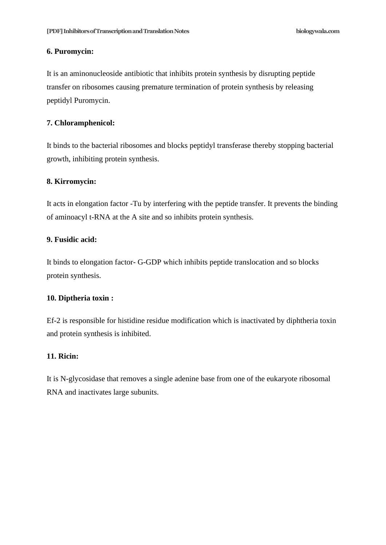#### **6. Puromycin:**

It is an aminonucleoside antibiotic that inhibits protein synthesis by disrupting peptide transfer on ribosomes causing premature termination of protein synthesis by releasing peptidyl Puromycin.

#### **7. Chloramphenicol:**

It binds to the bacterial ribosomes and blocks peptidyl transferase thereby stopping bacterial growth, inhibiting protein synthesis.

#### **8. Kirromycin:**

It acts in elongation factor -Tu by interfering with the peptide transfer. It prevents the binding of aminoacyl t-RNA at the A site and so inhibits protein synthesis.

#### **9. Fusidic acid:**

It binds to elongation factor- G-GDP which inhibits peptide translocation and so blocks protein synthesis.

#### **10. Diptheria toxin :**

Ef-2 is responsible for histidine residue modification which is inactivated by diphtheria toxin and protein synthesis is inhibited.

#### **11. Ricin:**

It is N-glycosidase that removes a single adenine base from one of the eukaryote ribosomal RNA and inactivates large subunits.